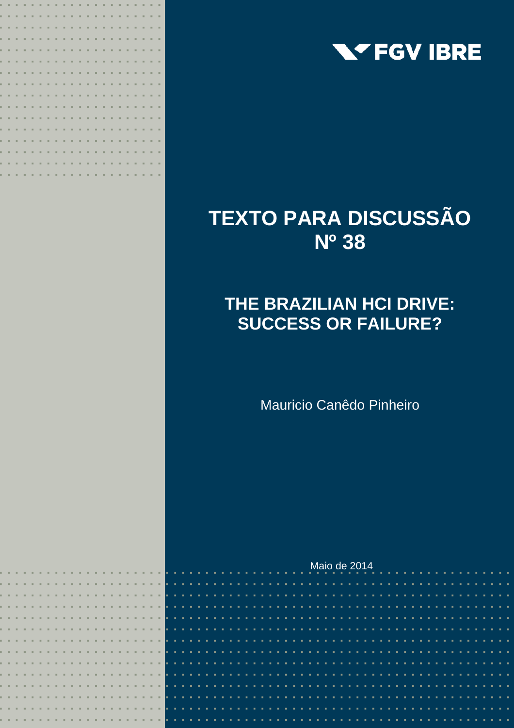

# **TEXTO PARA DISCUSSÃO Nº 38**

## **THE BRAZILIAN HCI DRIVE: SUCCESS OR FAILURE?**

Mauricio Canêdo Pinheiro

|  |  |  |  |  |  |  |  |  |  |  |  |  |  |  |  |  |  | Maio de 2014 |  |  |  |  |  |  |  |  |  |  |
|--|--|--|--|--|--|--|--|--|--|--|--|--|--|--|--|--|--|--------------|--|--|--|--|--|--|--|--|--|--|
|  |  |  |  |  |  |  |  |  |  |  |  |  |  |  |  |  |  |              |  |  |  |  |  |  |  |  |  |  |
|  |  |  |  |  |  |  |  |  |  |  |  |  |  |  |  |  |  |              |  |  |  |  |  |  |  |  |  |  |
|  |  |  |  |  |  |  |  |  |  |  |  |  |  |  |  |  |  |              |  |  |  |  |  |  |  |  |  |  |
|  |  |  |  |  |  |  |  |  |  |  |  |  |  |  |  |  |  |              |  |  |  |  |  |  |  |  |  |  |
|  |  |  |  |  |  |  |  |  |  |  |  |  |  |  |  |  |  |              |  |  |  |  |  |  |  |  |  |  |
|  |  |  |  |  |  |  |  |  |  |  |  |  |  |  |  |  |  |              |  |  |  |  |  |  |  |  |  |  |
|  |  |  |  |  |  |  |  |  |  |  |  |  |  |  |  |  |  |              |  |  |  |  |  |  |  |  |  |  |
|  |  |  |  |  |  |  |  |  |  |  |  |  |  |  |  |  |  |              |  |  |  |  |  |  |  |  |  |  |
|  |  |  |  |  |  |  |  |  |  |  |  |  |  |  |  |  |  |              |  |  |  |  |  |  |  |  |  |  |
|  |  |  |  |  |  |  |  |  |  |  |  |  |  |  |  |  |  |              |  |  |  |  |  |  |  |  |  |  |
|  |  |  |  |  |  |  |  |  |  |  |  |  |  |  |  |  |  |              |  |  |  |  |  |  |  |  |  |  |
|  |  |  |  |  |  |  |  |  |  |  |  |  |  |  |  |  |  |              |  |  |  |  |  |  |  |  |  |  |
|  |  |  |  |  |  |  |  |  |  |  |  |  |  |  |  |  |  |              |  |  |  |  |  |  |  |  |  |  |
|  |  |  |  |  |  |  |  |  |  |  |  |  |  |  |  |  |  |              |  |  |  |  |  |  |  |  |  |  |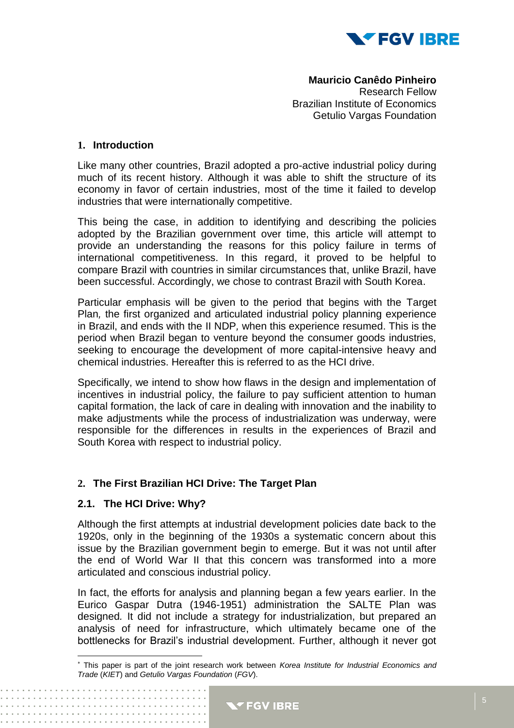

**Mauricio Canêdo Pinheiro** Research Fellow Brazilian Institute of Economics Getulio Vargas Foundation

#### **1. Introduction**

Like many other countries, Brazil adopted a pro-active industrial policy during much of its recent history. Although it was able to shift the structure of its economy in favor of certain industries, most of the time it failed to develop industries that were internationally competitive.

This being the case, in addition to identifying and describing the policies adopted by the Brazilian government over time, this article will attempt to provide an understanding the reasons for this policy failure in terms of international competitiveness. In this regard, it proved to be helpful to compare Brazil with countries in similar circumstances that, unlike Brazil, have been successful. Accordingly, we chose to contrast Brazil with South Korea.

Particular emphasis will be given to the period that begins with the Target Plan*,* the first organized and articulated industrial policy planning experience in Brazil, and ends with the II NDP*,* when this experience resumed. This is the period when Brazil began to venture beyond the consumer goods industries, seeking to encourage the development of more capital-intensive heavy and chemical industries. Hereafter this is referred to as the HCI drive.

Specifically, we intend to show how flaws in the design and implementation of incentives in industrial policy, the failure to pay sufficient attention to human capital formation, the lack of care in dealing with innovation and the inability to make adjustments while the process of industrialization was underway, were responsible for the differences in results in the experiences of Brazil and South Korea with respect to industrial policy.

#### **2. The First Brazilian HCI Drive: The Target Plan**

#### **2.1. The HCI Drive: Why?**

 $\overline{\phantom{a}}$ 

Although the first attempts at industrial development policies date back to the 1920s, only in the beginning of the 1930s a systematic concern about this issue by the Brazilian government begin to emerge. But it was not until after the end of World War II that this concern was transformed into a more articulated and conscious industrial policy.

In fact, the efforts for analysis and planning began a few years earlier. In the Eurico Gaspar Dutra (1946-1951) administration the SALTE Plan was designed*.* It did not include a strategy for industrialization, but prepared an analysis of need for infrastructure, which ultimately became one of the bottlenecks for Brazil's industrial development. Further, although it never got

This paper is part of the joint research work between *Korea Institute for Industrial Economics and Trade* (*KIET*) and *Getulio Vargas Foundation* (*FGV*).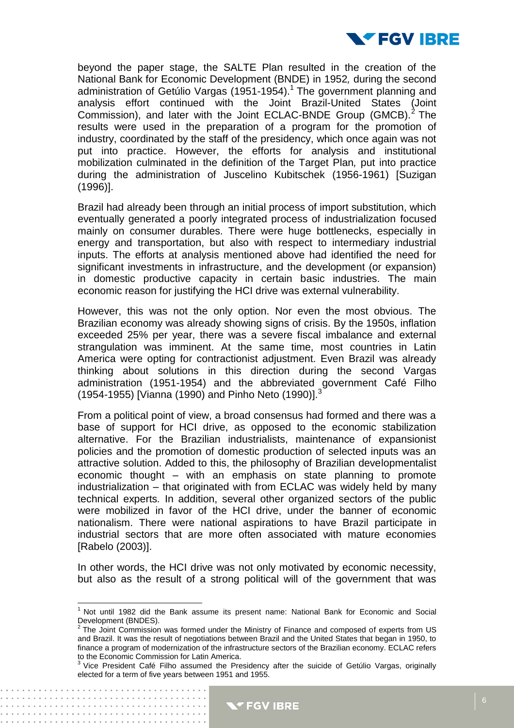

beyond the paper stage, the SALTE Plan resulted in the creation of the National Bank for Economic Development (BNDE) in 1952*,* during the second administration of Getúlio Vargas (1951-1954).<sup>1</sup> The government planning and analysis effort continued with the Joint Brazil-United States (Joint Commission), and later with the Joint ECLAC-BNDE Group (GMCB).<sup>2</sup> The results were used in the preparation of a program for the promotion of industry, coordinated by the staff of the presidency, which once again was not put into practice. However, the efforts for analysis and institutional mobilization culminated in the definition of the Target Plan*,* put into practice during the administration of Juscelino Kubitschek (1956-1961) [Suzigan (1996)].

Brazil had already been through an initial process of import substitution, which eventually generated a poorly integrated process of industrialization focused mainly on consumer durables. There were huge bottlenecks, especially in energy and transportation, but also with respect to intermediary industrial inputs. The efforts at analysis mentioned above had identified the need for significant investments in infrastructure, and the development (or expansion) in domestic productive capacity in certain basic industries. The main economic reason for justifying the HCI drive was external vulnerability.

However, this was not the only option. Nor even the most obvious. The Brazilian economy was already showing signs of crisis. By the 1950s, inflation exceeded 25% per year, there was a severe fiscal imbalance and external strangulation was imminent. At the same time, most countries in Latin America were opting for contractionist adjustment. Even Brazil was already thinking about solutions in this direction during the second Vargas administration (1951-1954) and the abbreviated government Café Filho (1954-1955) [Vianna (1990) and Pinho Neto (1990)].<sup>3</sup>

From a political point of view, a broad consensus had formed and there was a base of support for HCI drive, as opposed to the economic stabilization alternative. For the Brazilian industrialists, maintenance of expansionist policies and the promotion of domestic production of selected inputs was an attractive solution. Added to this, the philosophy of Brazilian developmentalist economic thought – with an emphasis on state planning to promote industrialization – that originated with from ECLAC was widely held by many technical experts*.* In addition, several other organized sectors of the public were mobilized in favor of the HCI drive, under the banner of economic nationalism. There were national aspirations to have Brazil participate in industrial sectors that are more often associated with mature economies [Rabelo (2003)].

In other words, the HCI drive was not only motivated by economic necessity, but also as the result of a strong political will of the government that was

 $\overline{a}$ 

. . . . . . . . . . . . . . . . . .

 $1$  Not until 1982 did the Bank assume its present name: National Bank for Economic and Social Development (BNDES).

 $2$  The Joint Commission was formed under the Ministry of Finance and composed of experts from US and Brazil. It was the result of negotiations between Brazil and the United States that began in 1950, to finance a program of modernization of the infrastructure sectors of the Brazilian economy. ECLAC refers

to the Economic Commission for Latin America.<br><sup>3</sup> Vice President Café Filho assumed the Presidency after the suicide of Getúlio Vargas, originally elected for a term of five years between 1951 and 1955.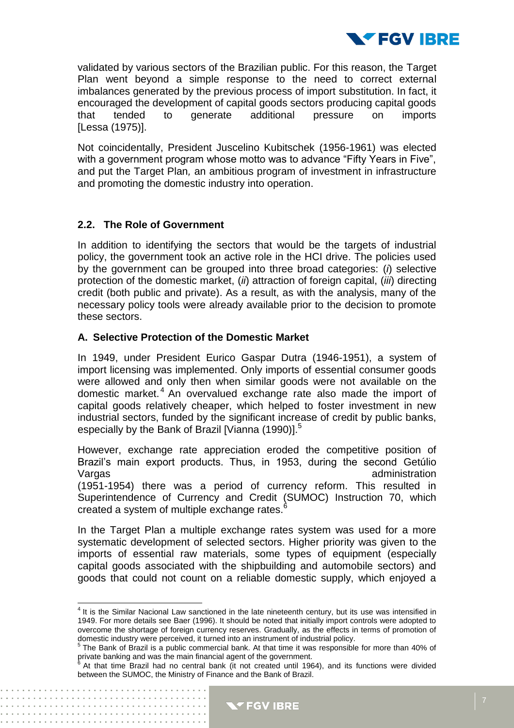

validated by various sectors of the Brazilian public. For this reason, the Target Plan went beyond a simple response to the need to correct external imbalances generated by the previous process of import substitution. In fact, it encouraged the development of capital goods sectors producing capital goods that tended to generate additional pressure on imports [Lessa (1975)].

Not coincidentally, President Juscelino Kubitschek (1956-1961) was elected with a government program whose motto was to advance "Fifty Years in Five", and put the Target Plan*,* an ambitious program of investment in infrastructure and promoting the domestic industry into operation.

#### **2.2. The Role of Government**

. . . . . . . . . . . . .

In addition to identifying the sectors that would be the targets of industrial policy, the government took an active role in the HCI drive. The policies used by the government can be grouped into three broad categories: (*i*) selective protection of the domestic market, (*ii*) attraction of foreign capital, (*iii*) directing credit (both public and private). As a result, as with the analysis, many of the necessary policy tools were already available prior to the decision to promote these sectors.

#### **A. Selective Protection of the Domestic Market**

In 1949, under President Eurico Gaspar Dutra (1946-1951), a system of import licensing was implemented. Only imports of essential consumer goods were allowed and only then when similar goods were not available on the domestic market. <sup>4</sup> An overvalued exchange rate also made the import of capital goods relatively cheaper, which helped to foster investment in new industrial sectors, funded by the significant increase of credit by public banks, especially by the Bank of Brazil [Vianna (1990)]. $^{\circ}$ 

However, exchange rate appreciation eroded the competitive position of Brazil's main export products. Thus, in 1953, during the second Getúlio Vargas and the contract of the contract of the contract of the contract of the contract of the contract of the contract of the contract of the contract of the contract of the contract of the contract of the contract of the (1951-1954) there was a period of currency reform. This resulted in Superintendence of Currency and Credit (SUMOC) Instruction 70, which created a system of multiple exchange rates.<sup>6</sup>

In the Target Plan a multiple exchange rates system was used for a more systematic development of selected sectors. Higher priority was given to the imports of essential raw materials, some types of equipment (especially capital goods associated with the shipbuilding and automobile sectors) and goods that could not count on a reliable domestic supply, which enjoyed a

 4 It is the Similar Nacional Law sanctioned in the late nineteenth century, but its use was intensified in 1949. For more details see Baer (1996). It should be noted that initially import controls were adopted to overcome the shortage of foreign currency reserves. Gradually, as the effects in terms of promotion of

domestic industry were perceived, it turned into an instrument of industrial policy.<br><sup>5</sup> The Bank of Brazil is a public commercial bank. At that time it was responsible for more than 40% of private banking and was the main financial agent of the government.<br><sup>6</sup> At that time, Brazil, had no control bank (it not created until 106

At that time Brazil had no central bank (it not created until 1964), and its functions were divided between the SUMOC, the Ministry of Finance and the Bank of Brazil.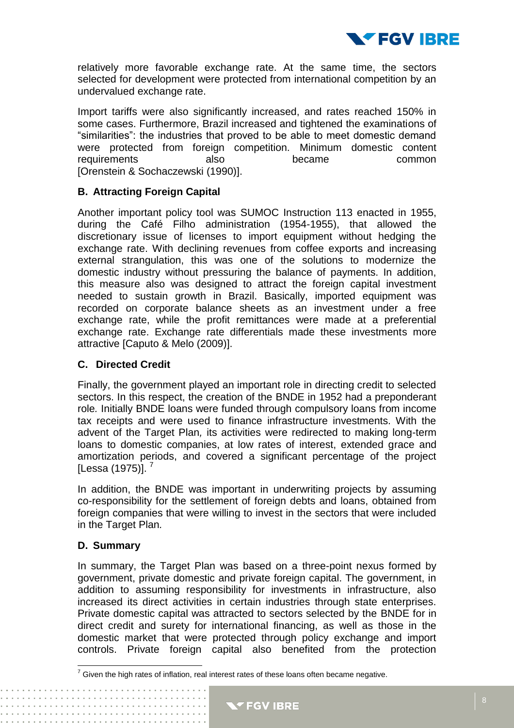

relatively more favorable exchange rate. At the same time, the sectors selected for development were protected from international competition by an undervalued exchange rate.

Import tariffs were also significantly increased, and rates reached 150% in some cases. Furthermore, Brazil increased and tightened the examinations of "similarities": the industries that proved to be able to meet domestic demand were protected from foreign competition. Minimum domestic content requirements also became common [Orenstein & Sochaczewski (1990)].

#### **B. Attracting Foreign Capital**

Another important policy tool was SUMOC Instruction 113 enacted in 1955, during the Café Filho administration (1954-1955), that allowed the discretionary issue of licenses to import equipment without hedging the exchange rate. With declining revenues from coffee exports and increasing external strangulation, this was one of the solutions to modernize the domestic industry without pressuring the balance of payments. In addition, this measure also was designed to attract the foreign capital investment needed to sustain growth in Brazil. Basically, imported equipment was recorded on corporate balance sheets as an investment under a free exchange rate, while the profit remittances were made at a preferential exchange rate. Exchange rate differentials made these investments more attractive [Caputo & Melo (2009)].

#### **C. Directed Credit**

Finally, the government played an important role in directing credit to selected sectors. In this respect, the creation of the BNDE in 1952 had a preponderant role*.* Initially BNDE loans were funded through compulsory loans from income tax receipts and were used to finance infrastructure investments. With the advent of the Target Plan*,* its activities were redirected to making long-term loans to domestic companies, at low rates of interest, extended grace and amortization periods, and covered a significant percentage of the project [Lessa (1975)].  $^7$ 

In addition, the BNDE was important in underwriting projects by assuming co-responsibility for the settlement of foreign debts and loans, obtained from foreign companies that were willing to invest in the sectors that were included in the Target Plan*.*

#### **D. Summary**

 $\overline{\phantom{a}}$ 

In summary, the Target Plan was based on a three-point nexus formed by government, private domestic and private foreign capital. The government, in addition to assuming responsibility for investments in infrastructure, also increased its direct activities in certain industries through state enterprises. Private domestic capital was attracted to sectors selected by the BNDE for in direct credit and surety for international financing, as well as those in the domestic market that were protected through policy exchange and import controls. Private foreign capital also benefited from the protection

 $7$  Given the high rates of inflation, real interest rates of these loans often became negative.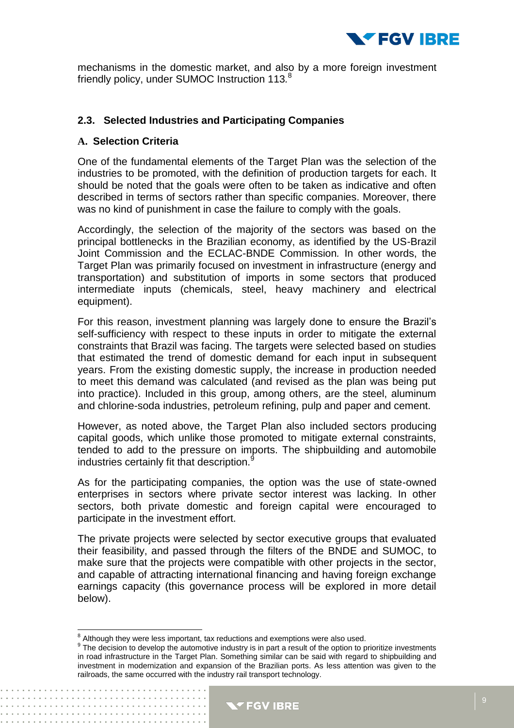

mechanisms in the domestic market, and also by a more foreign investment friendly policy, under SUMOC Instruction 113*.* 8

#### **2.3. Selected Industries and Participating Companies**

#### **A. Selection Criteria**

One of the fundamental elements of the Target Plan was the selection of the industries to be promoted, with the definition of production targets for each. It should be noted that the goals were often to be taken as indicative and often described in terms of sectors rather than specific companies. Moreover, there was no kind of punishment in case the failure to comply with the goals.

Accordingly, the selection of the majority of the sectors was based on the principal bottlenecks in the Brazilian economy, as identified by the US-Brazil Joint Commission and the ECLAC-BNDE Commission*.* In other words, the Target Plan was primarily focused on investment in infrastructure (energy and transportation) and substitution of imports in some sectors that produced intermediate inputs (chemicals, steel, heavy machinery and electrical equipment).

For this reason, investment planning was largely done to ensure the Brazil's self-sufficiency with respect to these inputs in order to mitigate the external constraints that Brazil was facing. The targets were selected based on studies that estimated the trend of domestic demand for each input in subsequent years. From the existing domestic supply, the increase in production needed to meet this demand was calculated (and revised as the plan was being put into practice). Included in this group, among others, are the steel, aluminum and chlorine-soda industries, petroleum refining, pulp and paper and cement.

However, as noted above, the Target Plan also included sectors producing capital goods, which unlike those promoted to mitigate external constraints, tended to add to the pressure on imports. The shipbuilding and automobile industries certainly fit that description.<sup>9</sup>

As for the participating companies, the option was the use of state-owned enterprises in sectors where private sector interest was lacking. In other sectors, both private domestic and foreign capital were encouraged to participate in the investment effort.

The private projects were selected by sector executive groups that evaluated their feasibility, and passed through the filters of the BNDE and SUMOC, to make sure that the projects were compatible with other projects in the sector, and capable of attracting international financing and having foreign exchange earnings capacity (this governance process will be explored in more detail below).

<sup>&</sup>lt;sup>9</sup> The decision to develop the automotive industry is in part a result of the option to prioritize investments in road infrastructure in the Target Plan. Something similar can be said with regard to shipbuilding and investment in modernization and expansion of the Brazilian ports. As less attention was given to the railroads, the same occurred with the industry rail transport technology.



<sup>&</sup>lt;sup>8</sup><br>Although they were less important, tax reductions and exemptions were also used.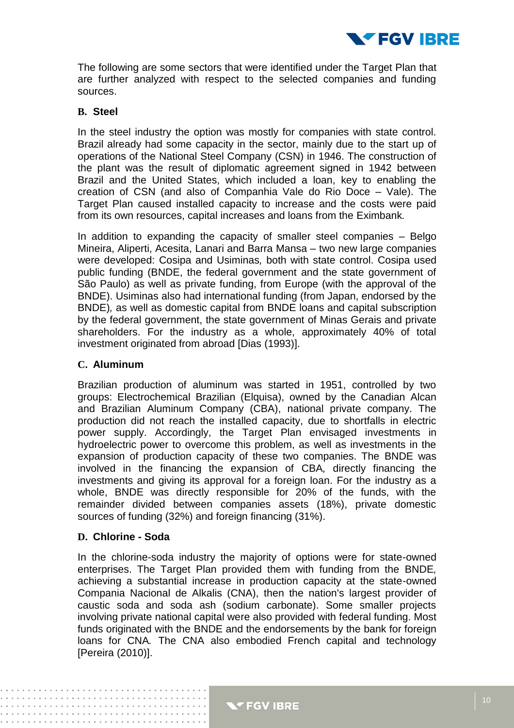

The following are some sectors that were identified under the Target Plan that are further analyzed with respect to the selected companies and funding sources.

#### **B. Steel**

In the steel industry the option was mostly for companies with state control. Brazil already had some capacity in the sector, mainly due to the start up of operations of the National Steel Company (CSN) in 1946. The construction of the plant was the result of diplomatic agreement signed in 1942 between Brazil and the United States, which included a loan, key to enabling the creation of CSN (and also of Companhia Vale do Rio Doce – Vale). The Target Plan caused installed capacity to increase and the costs were paid from its own resources, capital increases and loans from the Eximbank*.*

In addition to expanding the capacity of smaller steel companies – Belgo Mineira, Aliperti, Acesita, Lanari and Barra Mansa – two new large companies were developed: Cosipa and Usiminas*,* both with state control. Cosipa used public funding (BNDE, the federal government and the state government of São Paulo) as well as private funding, from Europe (with the approval of the BNDE). Usiminas also had international funding (from Japan, endorsed by the BNDE)*,* as well as domestic capital from BNDE loans and capital subscription by the federal government, the state government of Minas Gerais and private shareholders. For the industry as a whole, approximately 40% of total investment originated from abroad [Dias (1993)].

#### **C. Aluminum**

Brazilian production of aluminum was started in 1951, controlled by two groups: Electrochemical Brazilian (Elquisa), owned by the Canadian Alcan and Brazilian Aluminum Company (CBA), national private company. The production did not reach the installed capacity, due to shortfalls in electric power supply. Accordingly, the Target Plan envisaged investments in hydroelectric power to overcome this problem, as well as investments in the expansion of production capacity of these two companies. The BNDE was involved in the financing the expansion of CBA*,* directly financing the investments and giving its approval for a foreign loan. For the industry as a whole, BNDE was directly responsible for 20% of the funds, with the remainder divided between companies assets (18%), private domestic sources of funding (32%) and foreign financing (31%).

#### **D. Chlorine - Soda**

In the chlorine-soda industry the majority of options were for state-owned enterprises. The Target Plan provided them with funding from the BNDE*,* achieving a substantial increase in production capacity at the state-owned Compania Nacional de Alkalis (CNA), then the nation's largest provider of caustic soda and soda ash (sodium carbonate). Some smaller projects involving private national capital were also provided with federal funding. Most funds originated with the BNDE and the endorsements by the bank for foreign loans for CNA*.* The CNA also embodied French capital and technology [Pereira (2010)].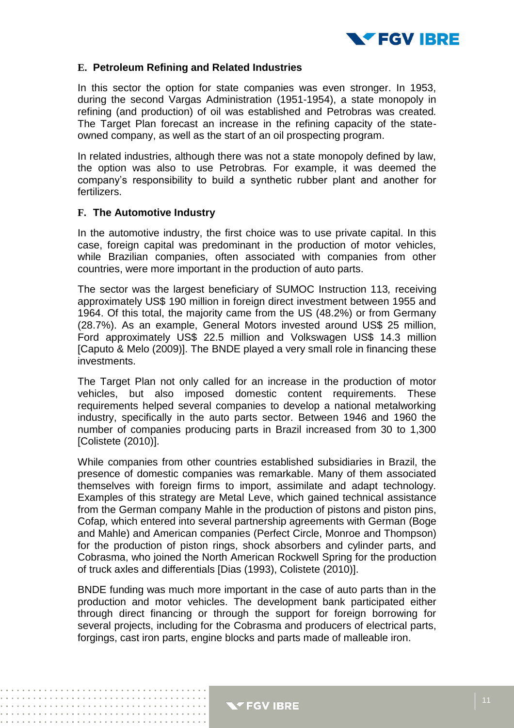

#### **E. Petroleum Refining and Related Industries**

In this sector the option for state companies was even stronger. In 1953, during the second Vargas Administration (1951-1954), a state monopoly in refining (and production) of oil was established and Petrobras was created*.*  The Target Plan forecast an increase in the refining capacity of the stateowned company, as well as the start of an oil prospecting program.

In related industries, although there was not a state monopoly defined by law, the option was also to use Petrobras*.* For example, it was deemed the company's responsibility to build a synthetic rubber plant and another for fertilizers.

#### **F. The Automotive Industry**

In the automotive industry, the first choice was to use private capital. In this case, foreign capital was predominant in the production of motor vehicles, while Brazilian companies, often associated with companies from other countries, were more important in the production of auto parts.

The sector was the largest beneficiary of SUMOC Instruction 113*,* receiving approximately US\$ 190 million in foreign direct investment between 1955 and 1964. Of this total, the majority came from the US (48.2%) or from Germany (28.7%). As an example, General Motors invested around US\$ 25 million, Ford approximately US\$ 22.5 million and Volkswagen US\$ 14.3 million [Caputo & Melo (2009)]. The BNDE played a very small role in financing these investments.

The Target Plan not only called for an increase in the production of motor vehicles, but also imposed domestic content requirements. These requirements helped several companies to develop a national metalworking industry, specifically in the auto parts sector. Between 1946 and 1960 the number of companies producing parts in Brazil increased from 30 to 1,300 [Colistete (2010)].

While companies from other countries established subsidiaries in Brazil, the presence of domestic companies was remarkable. Many of them associated themselves with foreign firms to import, assimilate and adapt technology. Examples of this strategy are Metal Leve, which gained technical assistance from the German company Mahle in the production of pistons and piston pins, Cofap*,* which entered into several partnership agreements with German (Boge and Mahle) and American companies (Perfect Circle, Monroe and Thompson) for the production of piston rings, shock absorbers and cylinder parts, and Cobrasma, who joined the North American Rockwell Spring for the production of truck axles and differentials [Dias (1993), Colistete (2010)].

BNDE funding was much more important in the case of auto parts than in the production and motor vehicles. The development bank participated either through direct financing or through the support for foreign borrowing for several projects, including for the Cobrasma and producers of electrical parts, forgings, cast iron parts, engine blocks and parts made of malleable iron.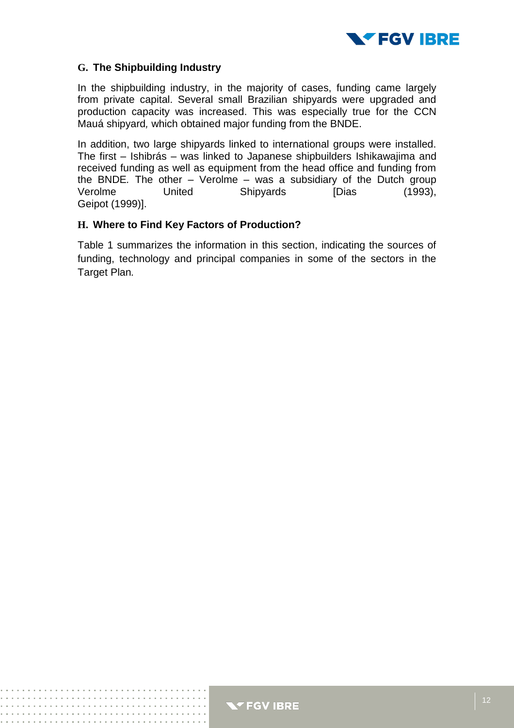

#### **G. The Shipbuilding Industry**

In the shipbuilding industry, in the majority of cases, funding came largely from private capital. Several small Brazilian shipyards were upgraded and production capacity was increased. This was especially true for the CCN Mauá shipyard*,* which obtained major funding from the BNDE.

In addition, two large shipyards linked to international groups were installed. The first – Ishibrás – was linked to Japanese shipbuilders Ishikawajima and received funding as well as equipment from the head office and funding from the BNDE*.* The other – Verolme – was a subsidiary of the Dutch group Verolme United Shipyards [Dias (1993), Geipot (1999)].

#### **H. Where to Find Key Factors of Production?**

Table 1 summarizes the information in this section, indicating the sources of funding, technology and principal companies in some of the sectors in the Target Plan*.*

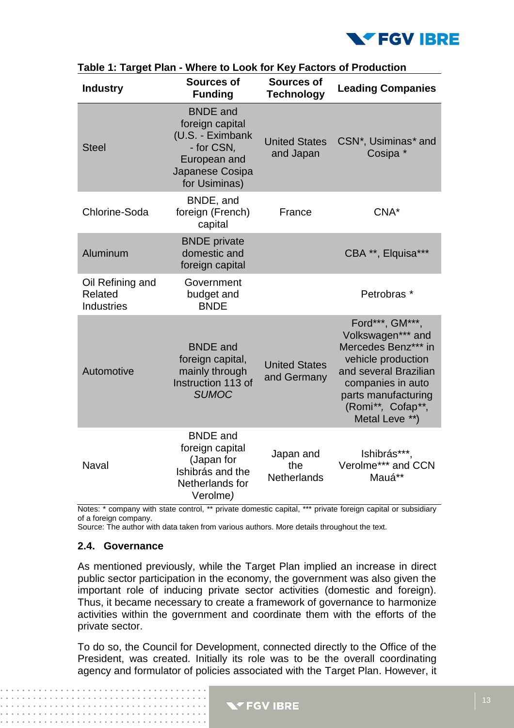

| <b>Industry</b>                                  | <b>Sources of</b><br><b>Funding</b>                                                                                      | Sources of<br><b>Technology</b>        | <b>Leading Companies</b>                                                                                                                                                                      |
|--------------------------------------------------|--------------------------------------------------------------------------------------------------------------------------|----------------------------------------|-----------------------------------------------------------------------------------------------------------------------------------------------------------------------------------------------|
| <b>Steel</b>                                     | <b>BNDE</b> and<br>foreign capital<br>(U.S. - Eximbank<br>- for CSN,<br>European and<br>Japanese Cosipa<br>for Usiminas) | <b>United States</b><br>and Japan      | CSN*, Usiminas*and<br>Cosipa *                                                                                                                                                                |
| Chlorine-Soda                                    | BNDE, and<br>foreign (French)<br>capital                                                                                 | France                                 | CNA*                                                                                                                                                                                          |
| Aluminum                                         | <b>BNDE</b> private<br>domestic and<br>foreign capital                                                                   |                                        | CBA **, Elquisa***                                                                                                                                                                            |
| Oil Refining and<br>Related<br><b>Industries</b> | Government<br>budget and<br><b>BNDE</b>                                                                                  |                                        | Petrobras <sup>*</sup>                                                                                                                                                                        |
| Automotive                                       | <b>BNDE</b> and<br>foreign capital,<br>mainly through<br>Instruction 113 of<br><b>SUMOC</b>                              | <b>United States</b><br>and Germany    | Ford***, GM***,<br>Volkswagen*** and<br>Mercedes Benz*** in<br>vehicle production<br>and several Brazilian<br>companies in auto<br>parts manufacturing<br>(Romi**, Cofap**,<br>Metal Leve **) |
| Naval                                            | <b>BNDE</b> and<br>foreign capital<br>(Japan for<br>Ishibrás and the<br>Netherlands for<br>Verolme)                      | Japan and<br>the<br><b>Netherlands</b> | Ishibrás***,<br>Verolme*** and CCN<br>Mauá**                                                                                                                                                  |

**Table 1: Target Plan - Where to Look for Key Factors of Production** 

Notes: \* company with state control, \*\* private domestic capital, \*\*\* private foreign capital or subsidiary of a foreign company.

Source: The author with data taken from various authors. More details throughout the text.

#### **2.4. Governance**

As mentioned previously, while the Target Plan implied an increase in direct public sector participation in the economy, the government was also given the important role of inducing private sector activities (domestic and foreign). Thus, it became necessary to create a framework of governance to harmonize activities within the government and coordinate them with the efforts of the private sector.

To do so, the Council for Development, connected directly to the Office of the President, was created. Initially its role was to be the overall coordinating agency and formulator of policies associated with the Target Plan. However, it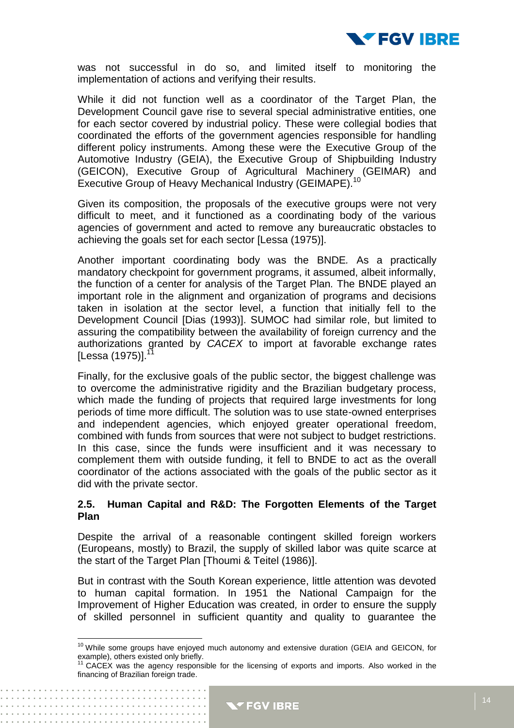

was not successful in do so, and limited itself to monitoring the implementation of actions and verifying their results.

While it did not function well as a coordinator of the Target Plan, the Development Council gave rise to several special administrative entities, one for each sector covered by industrial policy. These were collegial bodies that coordinated the efforts of the government agencies responsible for handling different policy instruments. Among these were the Executive Group of the Automotive Industry (GEIA), the Executive Group of Shipbuilding Industry (GEICON), Executive Group of Agricultural Machinery (GEIMAR) and Executive Group of Heavy Mechanical Industry (GEIMAPE).<sup>10</sup>

Given its composition, the proposals of the executive groups were not very difficult to meet, and it functioned as a coordinating body of the various agencies of government and acted to remove any bureaucratic obstacles to achieving the goals set for each sector [Lessa (1975)].

Another important coordinating body was the BNDE*.* As a practically mandatory checkpoint for government programs, it assumed, albeit informally, the function of a center for analysis of the Target Plan*.* The BNDE played an important role in the alignment and organization of programs and decisions taken in isolation at the sector level, a function that initially fell to the Development Council [Dias (1993)]. SUMOC had similar role, but limited to assuring the compatibility between the availability of foreign currency and the authorizations granted by *CACEX* to import at favorable exchange rates  $[Lessa (1975)]$ .

Finally, for the exclusive goals of the public sector, the biggest challenge was to overcome the administrative rigidity and the Brazilian budgetary process, which made the funding of projects that required large investments for long periods of time more difficult. The solution was to use state-owned enterprises and independent agencies, which enjoyed greater operational freedom, combined with funds from sources that were not subject to budget restrictions. In this case, since the funds were insufficient and it was necessary to complement them with outside funding, it fell to BNDE to act as the overall coordinator of the actions associated with the goals of the public sector as it did with the private sector.

#### **2.5. Human Capital and R&D: The Forgotten Elements of the Target Plan**

Despite the arrival of a reasonable contingent skilled foreign workers (Europeans, mostly) to Brazil, the supply of skilled labor was quite scarce at the start of the Target Plan [Thoumi & Teitel (1986)].

But in contrast with the South Korean experience, little attention was devoted to human capital formation. In 1951 the National Campaign for the Improvement of Higher Education was created*,* in order to ensure the supply of skilled personnel in sufficient quantity and quality to guarantee the

 $\overline{\phantom{a}}$ 

 $10$  While some groups have enjoyed much autonomy and extensive duration (GEIA and GEICON, for example), others existed only briefly.

 $11$  CACEX was the agency responsible for the licensing of exports and imports. Also worked in the financing of Brazilian foreign trade.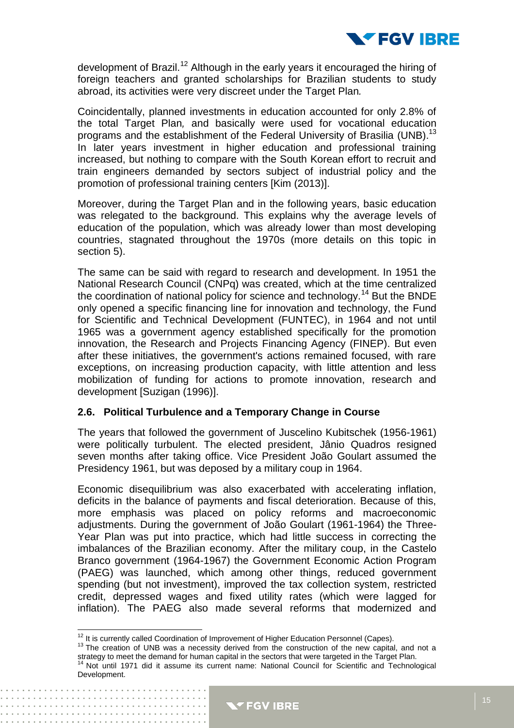

development of Brazil.<sup>12</sup> Although in the early years it encouraged the hiring of foreign teachers and granted scholarships for Brazilian students to study abroad, its activities were very discreet under the Target Plan*.*

Coincidentally, planned investments in education accounted for only 2.8% of the total Target Plan*,* and basically were used for vocational education programs and the establishment of the Federal University of Brasilia (UNB).<sup>13</sup> In later years investment in higher education and professional training increased, but nothing to compare with the South Korean effort to recruit and train engineers demanded by sectors subject of industrial policy and the promotion of professional training centers [Kim (2013)].

Moreover, during the Target Plan and in the following years, basic education was relegated to the background. This explains why the average levels of education of the population, which was already lower than most developing countries, stagnated throughout the 1970s (more details on this topic in section 5).

The same can be said with regard to research and development. In 1951 the National Research Council (CNPq) was created, which at the time centralized the coordination of national policy for science and technology.<sup>14</sup> But the BNDE only opened a specific financing line for innovation and technology, the Fund for Scientific and Technical Development (FUNTEC), in 1964 and not until 1965 was a government agency established specifically for the promotion innovation, the Research and Projects Financing Agency (FINEP). But even after these initiatives, the government's actions remained focused, with rare exceptions, on increasing production capacity, with little attention and less mobilization of funding for actions to promote innovation, research and development [Suzigan (1996)].

#### **2.6. Political Turbulence and a Temporary Change in Course**

The years that followed the government of Juscelino Kubitschek (1956-1961) were politically turbulent. The elected president, Jânio Quadros resigned seven months after taking office. Vice President João Goulart assumed the Presidency 1961, but was deposed by a military coup in 1964.

Economic disequilibrium was also exacerbated with accelerating inflation, deficits in the balance of payments and fiscal deterioration. Because of this, more emphasis was placed on policy reforms and macroeconomic adjustments. During the government of João Goulart (1961-1964) the Three-Year Plan was put into practice, which had little success in correcting the imbalances of the Brazilian economy. After the military coup, in the Castelo Branco government (1964-1967) the Government Economic Action Program (PAEG) was launched, which among other things, reduced government spending (but not investment), improved the tax collection system, restricted credit, depressed wages and fixed utility rates (which were lagged for inflation). The PAEG also made several reforms that modernized and

 $\overline{a}$ 

 $12$  It is currently called Coordination of Improvement of Higher Education Personnel (Capes).

<sup>&</sup>lt;sup>13</sup> The creation of UNB was a necessity derived from the construction of the new capital, and not a strategy to meet the demand for human capital in the sectors that were targeted in the Target Plan.

<sup>&</sup>lt;sup>14</sup> Not until 1971 did it assume its current name: National Council for Scientific and Technological Development.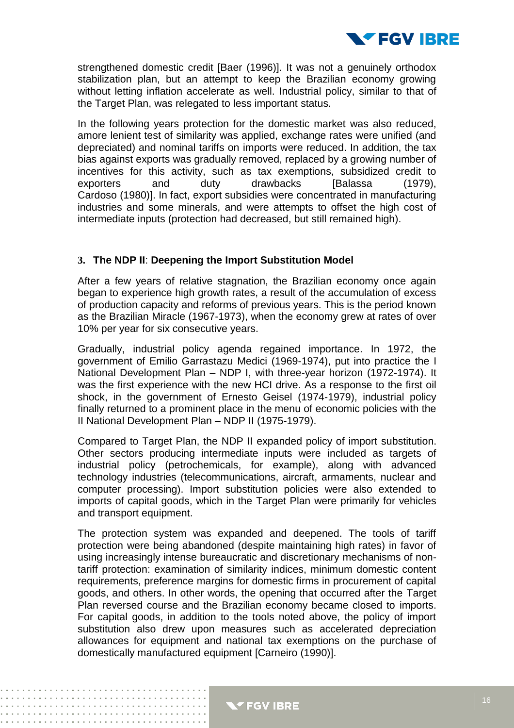

strengthened domestic credit [Baer (1996)]. It was not a genuinely orthodox stabilization plan, but an attempt to keep the Brazilian economy growing without letting inflation accelerate as well. Industrial policy, similar to that of the Target Plan, was relegated to less important status.

In the following years protection for the domestic market was also reduced, amore lenient test of similarity was applied, exchange rates were unified (and depreciated) and nominal tariffs on imports were reduced. In addition, the tax bias against exports was gradually removed, replaced by a growing number of incentives for this activity, such as tax exemptions, subsidized credit to exporters and duty drawbacks [Balassa (1979), Cardoso (1980)]. In fact, export subsidies were concentrated in manufacturing industries and some minerals, and were attempts to offset the high cost of intermediate inputs (protection had decreased, but still remained high).

#### **3. The NDP II**: **Deepening the Import Substitution Model**

After a few years of relative stagnation, the Brazilian economy once again began to experience high growth rates, a result of the accumulation of excess of production capacity and reforms of previous years. This is the period known as the Brazilian Miracle (1967-1973), when the economy grew at rates of over 10% per year for six consecutive years.

Gradually, industrial policy agenda regained importance. In 1972, the government of Emilio Garrastazu Medici (1969-1974), put into practice the I National Development Plan – NDP I, with three-year horizon (1972-1974). It was the first experience with the new HCI drive. As a response to the first oil shock, in the government of Ernesto Geisel (1974-1979), industrial policy finally returned to a prominent place in the menu of economic policies with the II National Development Plan – NDP II (1975-1979).

Compared to Target Plan, the NDP II expanded policy of import substitution. Other sectors producing intermediate inputs were included as targets of industrial policy (petrochemicals, for example), along with advanced technology industries (telecommunications, aircraft, armaments, nuclear and computer processing). Import substitution policies were also extended to imports of capital goods, which in the Target Plan were primarily for vehicles and transport equipment.

The protection system was expanded and deepened. The tools of tariff protection were being abandoned (despite maintaining high rates) in favor of using increasingly intense bureaucratic and discretionary mechanisms of nontariff protection: examination of similarity indices, minimum domestic content requirements, preference margins for domestic firms in procurement of capital goods, and others. In other words, the opening that occurred after the Target Plan reversed course and the Brazilian economy became closed to imports. For capital goods, in addition to the tools noted above, the policy of import substitution also drew upon measures such as accelerated depreciation allowances for equipment and national tax exemptions on the purchase of domestically manufactured equipment [Carneiro (1990)].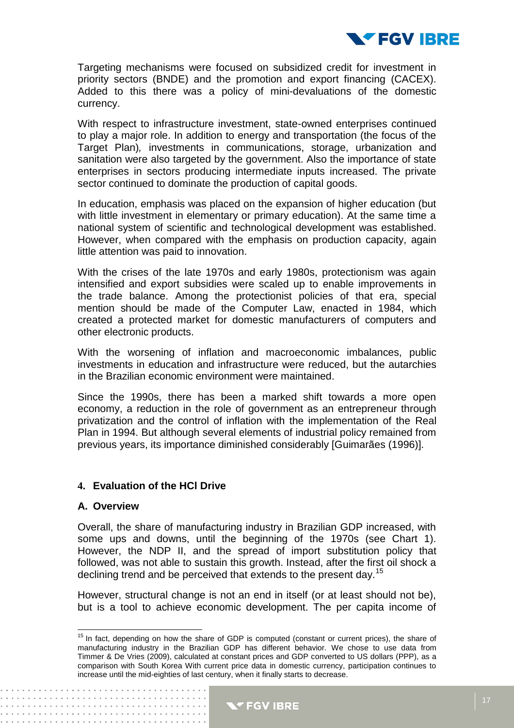

Targeting mechanisms were focused on subsidized credit for investment in priority sectors (BNDE) and the promotion and export financing (CACEX). Added to this there was a policy of mini-devaluations of the domestic currency.

With respect to infrastructure investment, state-owned enterprises continued to play a major role. In addition to energy and transportation (the focus of the Target Plan)*,* investments in communications, storage, urbanization and sanitation were also targeted by the government. Also the importance of state enterprises in sectors producing intermediate inputs increased. The private sector continued to dominate the production of capital goods.

In education, emphasis was placed on the expansion of higher education (but with little investment in elementary or primary education). At the same time a national system of scientific and technological development was established. However, when compared with the emphasis on production capacity, again little attention was paid to innovation.

With the crises of the late 1970s and early 1980s, protectionism was again intensified and export subsidies were scaled up to enable improvements in the trade balance. Among the protectionist policies of that era, special mention should be made of the Computer Law, enacted in 1984, which created a protected market for domestic manufacturers of computers and other electronic products.

With the worsening of inflation and macroeconomic imbalances, public investments in education and infrastructure were reduced, but the autarchies in the Brazilian economic environment were maintained.

Since the 1990s, there has been a marked shift towards a more open economy, a reduction in the role of government as an entrepreneur through privatization and the control of inflation with the implementation of the Real Plan in 1994. But although several elements of industrial policy remained from previous years, its importance diminished considerably [Guimarães (1996)].

#### **4. Evaluation of the HCl Drive**

 $\label{eq:reduced} \begin{split} \mathbf{1}_{\mathcal{A}}\cdot\mathbf{1}_{\mathcal{A}}\cdot\mathbf{1}_{\mathcal{A}}\cdot\mathbf{1}_{\mathcal{A}}\cdot\mathbf{1}_{\mathcal{A}}\cdot\mathbf{1}_{\mathcal{A}}\cdot\mathbf{1}_{\mathcal{A}}\cdot\mathbf{1}_{\mathcal{A}}\cdot\mathbf{1}_{\mathcal{A}}\cdot\mathbf{1}_{\mathcal{A}}\cdot\mathbf{1}_{\mathcal{A}}\cdot\mathbf{1}_{\mathcal{A}}\cdot\mathbf{1}_{\mathcal{A}}\cdot\mathbf{1}_{\mathcal{A}}\cdot\mathbf{1}_{\mathcal{A$ 

#### **A. Overview**

Overall, the share of manufacturing industry in Brazilian GDP increased, with some ups and downs, until the beginning of the 1970s (see Chart 1). However, the NDP II, and the spread of import substitution policy that followed, was not able to sustain this growth. Instead, after the first oil shock a declining trend and be perceived that extends to the present day.<sup>15</sup>

However, structural change is not an end in itself (or at least should not be), but is a tool to achieve economic development. The per capita income of

 $\overline{a}$ <sup>15</sup> In fact, depending on how the share of GDP is computed (constant or current prices), the share of manufacturing industry in the Brazilian GDP has different behavior. We chose to use data from Timmer & De Vries (2009), calculated at constant prices and GDP converted to US dollars (PPP), as a comparison with South Korea With current price data in domestic currency, participation continues to increase until the mid-eighties of last century, when it finally starts to decrease.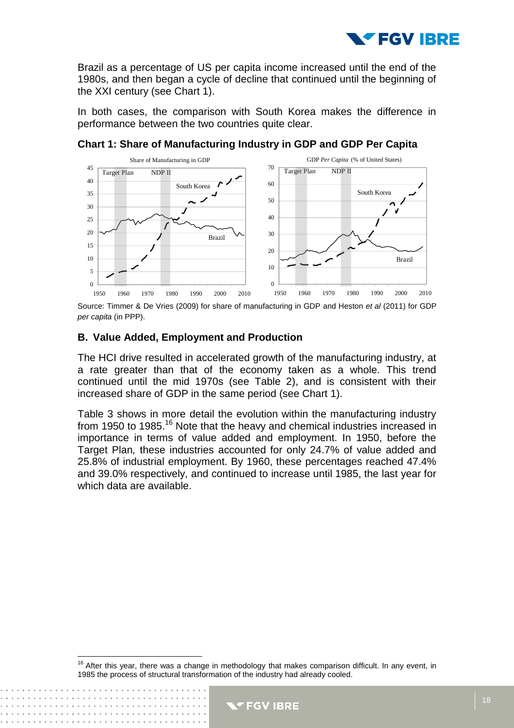

Brazil as a percentage of US per capita income increased until the end of the 1980s, and then began a cycle of decline that continued until the beginning of the XXI century (see Chart 1).

In both cases, the comparison with South Korea makes the difference in performance between the two countries quite clear.



**Chart 1: Share of Manufacturing Industry in GDP and GDP Per Capita**

Source: Timmer & De Vries (2009) for share of manufacturing in GDP and Heston *et al* (2011) for GDP *per capita* (in PPP).

#### **B. Value Added, Employment and Production**

 $\overline{\phantom{a}}$ 

The HCI drive resulted in accelerated growth of the manufacturing industry, at a rate greater than that of the economy taken as a whole. This trend continued until the mid 1970s (see Table 2), and is consistent with their increased share of GDP in the same period (see Chart 1).

Table 3 shows in more detail the evolution within the manufacturing industry from 1950 to 1985.<sup>16</sup> Note that the heavy and chemical industries increased in importance in terms of value added and employment. In 1950, before the Target Plan*,* these industries accounted for only 24.7% of value added and 25.8% of industrial employment. By 1960, these percentages reached 47.4% and 39.0% respectively, and continued to increase until 1985, the last year for which data are available.

After this year, there was a change in methodology that makes comparison difficult. In any event, in 1985 the process of structural transformation of the industry had already cooled.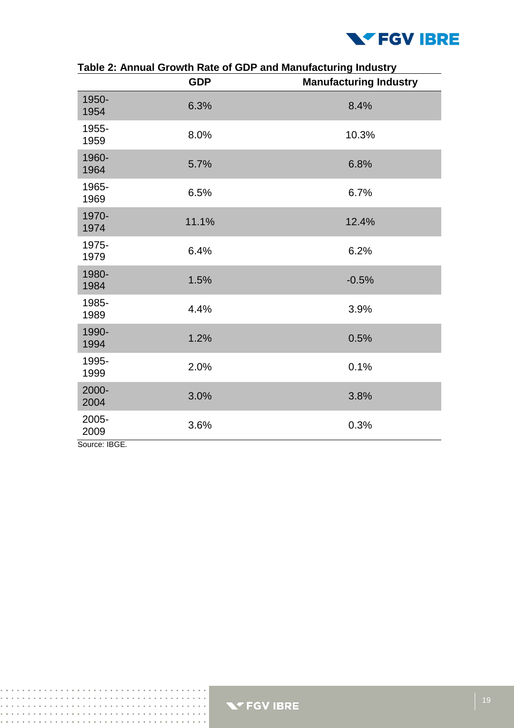

|               | <b>GDP</b> | rabie 2. Annual Growth Nate of GDF and Manufacturing muustry<br><b>Manufacturing Industry</b> |
|---------------|------------|-----------------------------------------------------------------------------------------------|
| 1950-<br>1954 | 6.3%       | 8.4%                                                                                          |
| 1955-<br>1959 | 8.0%       | 10.3%                                                                                         |
| 1960-<br>1964 | 5.7%       | 6.8%                                                                                          |
| 1965-<br>1969 | 6.5%       | 6.7%                                                                                          |
| 1970-<br>1974 | 11.1%      | 12.4%                                                                                         |
| 1975-<br>1979 | 6.4%       | 6.2%                                                                                          |
| 1980-<br>1984 | 1.5%       | $-0.5%$                                                                                       |
| 1985-<br>1989 | 4.4%       | 3.9%                                                                                          |
| 1990-<br>1994 | 1.2%       | 0.5%                                                                                          |
| 1995-<br>1999 | 2.0%       | 0.1%                                                                                          |
| 2000-<br>2004 | 3.0%       | 3.8%                                                                                          |
| 2005-<br>2009 | 3.6%       | 0.3%                                                                                          |

#### **Table 2: Annual Growth Rate of GDP and Manufacturing Industry**

Source: IBGE*.*



and a straight and

 $\sim 100$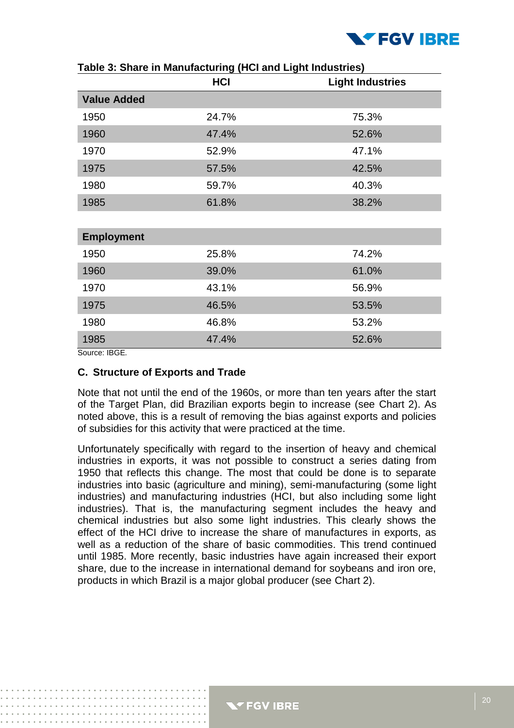

|                    | <b>HCI</b> | <b>Light Industries</b> |
|--------------------|------------|-------------------------|
| <b>Value Added</b> |            |                         |
| 1950               | 24.7%      | 75.3%                   |
| 1960               | 47.4%      | 52.6%                   |
| 1970               | 52.9%      | 47.1%                   |
| 1975               | 57.5%      | 42.5%                   |
| 1980               | 59.7%      | 40.3%                   |
| 1985               | 61.8%      | 38.2%                   |
|                    |            |                         |
| <b>Employment</b>  |            |                         |
| 1950               | 25.8%      | 74.2%                   |
| 1960               | 39.0%      | 61.0%                   |
| 1970               | 43.1%      | 56.9%                   |
| 1975               | 46.5%      | 53.5%                   |
| 1980               | 46.8%      | 53.2%                   |
| 1985               | 47.4%      | 52.6%                   |

Source: IBGE*.*

#### **C. Structure of Exports and Trade**

Note that not until the end of the 1960s, or more than ten years after the start of the Target Plan, did Brazilian exports begin to increase (see Chart 2). As noted above, this is a result of removing the bias against exports and policies of subsidies for this activity that were practiced at the time.

Unfortunately specifically with regard to the insertion of heavy and chemical industries in exports, it was not possible to construct a series dating from 1950 that reflects this change. The most that could be done is to separate industries into basic (agriculture and mining), semi-manufacturing (some light industries) and manufacturing industries (HCI, but also including some light industries). That is, the manufacturing segment includes the heavy and chemical industries but also some light industries. This clearly shows the effect of the HCI drive to increase the share of manufactures in exports, as well as a reduction of the share of basic commodities. This trend continued until 1985. More recently, basic industries have again increased their export share, due to the increase in international demand for soybeans and iron ore, products in which Brazil is a major global producer (see Chart 2).

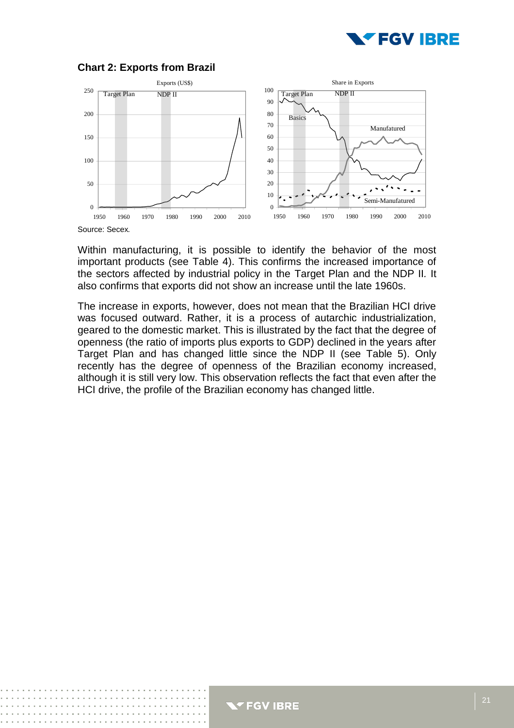



#### **Chart 2: Exports from Brazil**

Within manufacturing, it is possible to identify the behavior of the most important products (see Table 4). This confirms the increased importance of the sectors affected by industrial policy in the Target Plan and the NDP II*.* It also confirms that exports did not show an increase until the late 1960s.

The increase in exports, however, does not mean that the Brazilian HCI drive was focused outward. Rather, it is a process of autarchic industrialization, geared to the domestic market. This is illustrated by the fact that the degree of openness (the ratio of imports plus exports to GDP) declined in the years after Target Plan and has changed little since the NDP II (see Table 5). Only recently has the degree of openness of the Brazilian economy increased, although it is still very low. This observation reflects the fact that even after the HCI drive, the profile of the Brazilian economy has changed little.



Source: Secex*.*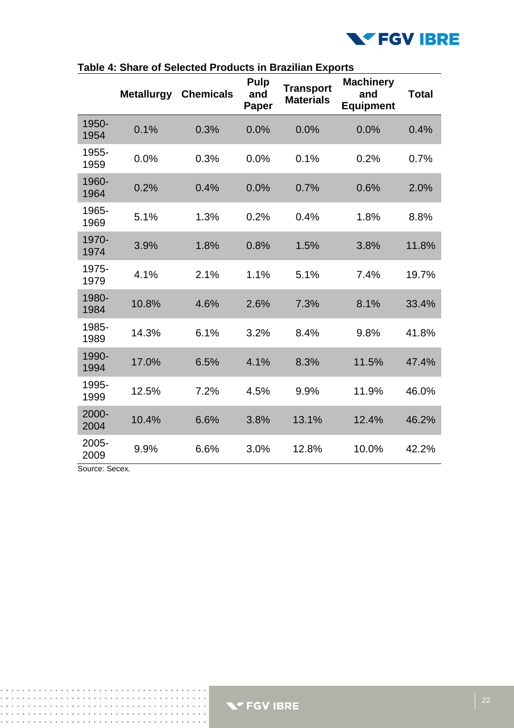

|               | <b>Metallurgy</b> | <b>Chemicals</b> | <b>Pulp</b><br>and<br>Paper | <b>Transport</b><br><b>Materials</b> | <b>Machinery</b><br>and<br><b>Equipment</b> | <b>Total</b> |
|---------------|-------------------|------------------|-----------------------------|--------------------------------------|---------------------------------------------|--------------|
| 1950-<br>1954 | 0.1%              | 0.3%             | 0.0%                        | 0.0%                                 | 0.0%                                        | 0.4%         |
| 1955-<br>1959 | 0.0%              | 0.3%             | 0.0%                        | 0.1%                                 | 0.2%                                        | 0.7%         |
| 1960-<br>1964 | 0.2%              | 0.4%             | 0.0%                        | 0.7%                                 | 0.6%                                        | 2.0%         |
| 1965-<br>1969 | 5.1%              | 1.3%             | 0.2%                        | 0.4%                                 | 1.8%                                        | 8.8%         |
| 1970-<br>1974 | 3.9%              | 1.8%             | 0.8%                        | 1.5%                                 | 3.8%                                        | 11.8%        |
| 1975-<br>1979 | 4.1%              | 2.1%             | 1.1%                        | 5.1%                                 | 7.4%                                        | 19.7%        |
| 1980-<br>1984 | 10.8%             | 4.6%             | 2.6%                        | 7.3%                                 | 8.1%                                        | 33.4%        |
| 1985-<br>1989 | 14.3%             | 6.1%             | 3.2%                        | 8.4%                                 | 9.8%                                        | 41.8%        |
| 1990-<br>1994 | 17.0%             | 6.5%             | 4.1%                        | 8.3%                                 | 11.5%                                       | 47.4%        |
| 1995-<br>1999 | 12.5%             | 7.2%             | 4.5%                        | 9.9%                                 | 11.9%                                       | 46.0%        |
| 2000-<br>2004 | 10.4%             | 6.6%             | 3.8%                        | 13.1%                                | 12.4%                                       | 46.2%        |
| 2005-<br>2009 | 9.9%              | 6.6%             | 3.0%                        | 12.8%                                | 10.0%                                       | 42.2%        |

| Table 4: Share of Selected Products in Brazilian Exports |
|----------------------------------------------------------|
|----------------------------------------------------------|

Source: Secex*.*

 $\mathbf{r}$  ,  $\mathbf{r}$  ,  $\mathbf{r}$  ,  $\mathbf{r}$  ,  $\mathbf{r}$  ,  $\mathbf{r}$  ,  $\mathbf{r}$  ,  $\mathbf{r}$ 

 $\sim$   $\sim$  $\sim 10$  $\bar{1}$ 

and the company's company's com-::::::::::::::::::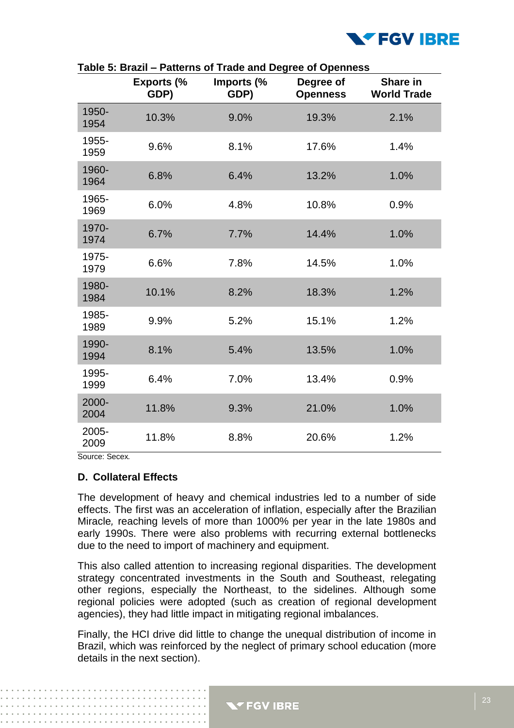

|               |                           | $\alpha$ and $\alpha$ . Drazil – I alterns of fraud and Degree of Openhess |                              |                                |
|---------------|---------------------------|----------------------------------------------------------------------------|------------------------------|--------------------------------|
|               | <b>Exports (%</b><br>GDP) | Imports (%<br>GDP)                                                         | Degree of<br><b>Openness</b> | Share in<br><b>World Trade</b> |
| 1950-<br>1954 | 10.3%                     | 9.0%                                                                       | 19.3%                        | 2.1%                           |
| 1955-<br>1959 | 9.6%                      | 8.1%                                                                       | 17.6%                        | 1.4%                           |
| 1960-<br>1964 | 6.8%                      | 6.4%                                                                       | 13.2%                        | 1.0%                           |
| 1965-<br>1969 | 6.0%                      | 4.8%                                                                       | 10.8%                        | 0.9%                           |
| 1970-<br>1974 | 6.7%                      | 7.7%                                                                       | 14.4%                        | 1.0%                           |
| 1975-<br>1979 | 6.6%                      | 7.8%                                                                       | 14.5%                        | 1.0%                           |
| 1980-<br>1984 | 10.1%                     | 8.2%                                                                       | 18.3%                        | 1.2%                           |
| 1985-<br>1989 | 9.9%                      | 5.2%                                                                       | 15.1%                        | 1.2%                           |
| 1990-<br>1994 | 8.1%                      | 5.4%                                                                       | 13.5%                        | 1.0%                           |
| 1995-<br>1999 | 6.4%                      | 7.0%                                                                       | 13.4%                        | 0.9%                           |
| 2000-<br>2004 | 11.8%                     | 9.3%                                                                       | 21.0%                        | 1.0%                           |
| 2005-<br>2009 | 11.8%                     | 8.8%                                                                       | 20.6%                        | 1.2%                           |

**Table 5: Brazil – Patterns of Trade and Degree of Openness**

Source: Secex*.*

#### **D. Collateral Effects**

The development of heavy and chemical industries led to a number of side effects. The first was an acceleration of inflation, especially after the Brazilian Miracle*,* reaching levels of more than 1000% per year in the late 1980s and early 1990s. There were also problems with recurring external bottlenecks due to the need to import of machinery and equipment.

This also called attention to increasing regional disparities. The development strategy concentrated investments in the South and Southeast, relegating other regions, especially the Northeast, to the sidelines. Although some regional policies were adopted (such as creation of regional development agencies), they had little impact in mitigating regional imbalances.

Finally, the HCI drive did little to change the unequal distribution of income in Brazil, which was reinforced by the neglect of primary school education (more details in the next section).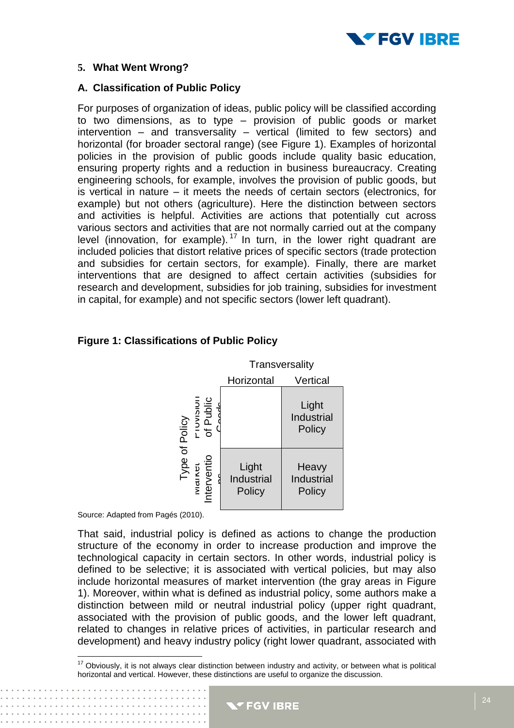

#### **5. What Went Wrong?**

#### **A. Classification of Public Policy**

For purposes of organization of ideas, public policy will be classified according to two dimensions, as to type – provision of public goods or market intervention – and transversality – vertical (limited to few sectors) and horizontal (for broader sectoral range) (see Figure 1). Examples of horizontal policies in the provision of public goods include quality basic education, ensuring property rights and a reduction in business bureaucracy. Creating engineering schools, for example, involves the provision of public goods, but is vertical in nature – it meets the needs of certain sectors (electronics, for example) but not others (agriculture). Here the distinction between sectors and activities is helpful. Activities are actions that potentially cut across various sectors and activities that are not normally carried out at the company level (innovation, for example). <sup>17</sup> In turn, in the lower right quadrant are included policies that distort relative prices of specific sectors (trade protection and subsidies for certain sectors, for example). Finally, there are market interventions that are designed to affect certain activities (subsidies for research and development, subsidies for job training, subsidies for investment in capital, for example) and not specific sectors (lower left quadrant).



#### **Figure 1: Classifications of Public Policy**

Source: Adapted from Pagés (2010).

That said, industrial policy is defined as actions to change the production structure of the economy in order to increase production and improve the technological capacity in certain sectors. In other words, industrial policy is defined to be selective; it is associated with vertical policies, but may also include horizontal measures of market intervention (the gray areas in Figure 1). Moreover, within what is defined as industrial policy, some authors make a distinction between mild or neutral industrial policy (upper right quadrant, associated with the provision of public goods, and the lower left quadrant, related to changes in relative prices of activities, in particular research and development) and heavy industry policy (right lower quadrant, associated with

 $\overline{\phantom{a}}$  $17$  Obviously, it is not always clear distinction between industry and activity, or between what is political horizontal and vertical. However, these distinctions are useful to organize the discussion.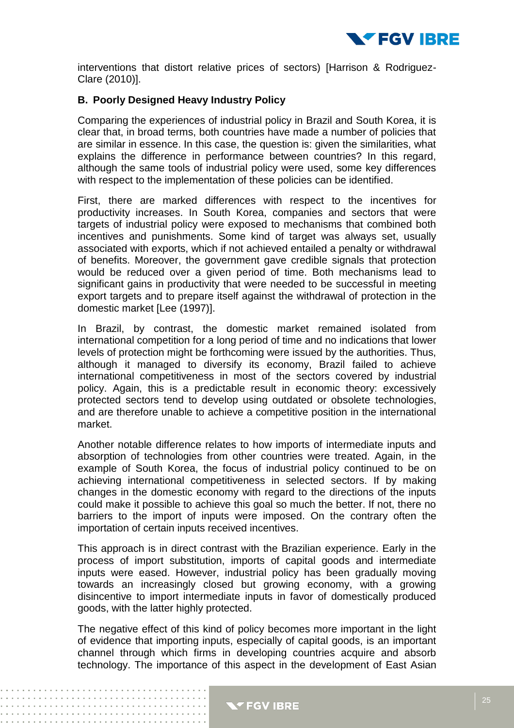

interventions that distort relative prices of sectors) [Harrison & Rodriguez-Clare (2010)].

#### **B. Poorly Designed Heavy Industry Policy**

Comparing the experiences of industrial policy in Brazil and South Korea, it is clear that, in broad terms, both countries have made a number of policies that are similar in essence. In this case, the question is: given the similarities, what explains the difference in performance between countries? In this regard, although the same tools of industrial policy were used, some key differences with respect to the implementation of these policies can be identified.

First, there are marked differences with respect to the incentives for productivity increases. In South Korea, companies and sectors that were targets of industrial policy were exposed to mechanisms that combined both incentives and punishments. Some kind of target was always set, usually associated with exports, which if not achieved entailed a penalty or withdrawal of benefits. Moreover, the government gave credible signals that protection would be reduced over a given period of time. Both mechanisms lead to significant gains in productivity that were needed to be successful in meeting export targets and to prepare itself against the withdrawal of protection in the domestic market [Lee (1997)].

In Brazil, by contrast, the domestic market remained isolated from international competition for a long period of time and no indications that lower levels of protection might be forthcoming were issued by the authorities. Thus, although it managed to diversify its economy, Brazil failed to achieve international competitiveness in most of the sectors covered by industrial policy. Again, this is a predictable result in economic theory: excessively protected sectors tend to develop using outdated or obsolete technologies, and are therefore unable to achieve a competitive position in the international market.

Another notable difference relates to how imports of intermediate inputs and absorption of technologies from other countries were treated. Again, in the example of South Korea, the focus of industrial policy continued to be on achieving international competitiveness in selected sectors. If by making changes in the domestic economy with regard to the directions of the inputs could make it possible to achieve this goal so much the better. If not, there no barriers to the import of inputs were imposed. On the contrary often the importation of certain inputs received incentives.

This approach is in direct contrast with the Brazilian experience. Early in the process of import substitution, imports of capital goods and intermediate inputs were eased. However, industrial policy has been gradually moving towards an increasingly closed but growing economy, with a growing disincentive to import intermediate inputs in favor of domestically produced goods, with the latter highly protected.

The negative effect of this kind of policy becomes more important in the light of evidence that importing inputs, especially of capital goods, is an important channel through which firms in developing countries acquire and absorb technology. The importance of this aspect in the development of East Asian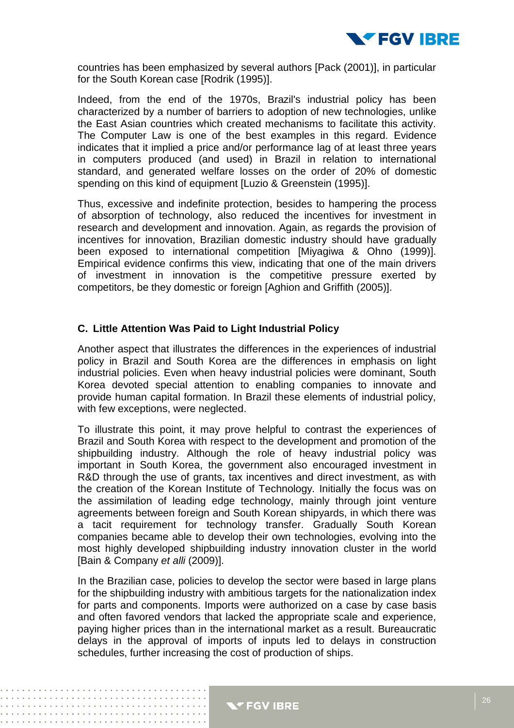

countries has been emphasized by several authors [Pack (2001)], in particular for the South Korean case [Rodrik (1995)].

Indeed, from the end of the 1970s, Brazil's industrial policy has been characterized by a number of barriers to adoption of new technologies, unlike the East Asian countries which created mechanisms to facilitate this activity. The Computer Law is one of the best examples in this regard. Evidence indicates that it implied a price and/or performance lag of at least three years in computers produced (and used) in Brazil in relation to international standard, and generated welfare losses on the order of 20% of domestic spending on this kind of equipment [Luzio & Greenstein (1995)].

Thus, excessive and indefinite protection, besides to hampering the process of absorption of technology, also reduced the incentives for investment in research and development and innovation. Again, as regards the provision of incentives for innovation, Brazilian domestic industry should have gradually been exposed to international competition [Miyagiwa & Ohno (1999)]. Empirical evidence confirms this view, indicating that one of the main drivers of investment in innovation is the competitive pressure exerted by competitors, be they domestic or foreign [Aghion and Griffith (2005)].

#### **C. Little Attention Was Paid to Light Industrial Policy**

Another aspect that illustrates the differences in the experiences of industrial policy in Brazil and South Korea are the differences in emphasis on light industrial policies. Even when heavy industrial policies were dominant, South Korea devoted special attention to enabling companies to innovate and provide human capital formation. In Brazil these elements of industrial policy, with few exceptions, were neglected.

To illustrate this point, it may prove helpful to contrast the experiences of Brazil and South Korea with respect to the development and promotion of the shipbuilding industry. Although the role of heavy industrial policy was important in South Korea, the government also encouraged investment in R&D through the use of grants, tax incentives and direct investment, as with the creation of the Korean Institute of Technology*.* Initially the focus was on the assimilation of leading edge technology, mainly through joint venture agreements between foreign and South Korean shipyards, in which there was a tacit requirement for technology transfer. Gradually South Korean companies became able to develop their own technologies, evolving into the most highly developed shipbuilding industry innovation cluster in the world [Bain & Company *et alli* (2009)].

In the Brazilian case, policies to develop the sector were based in large plans for the shipbuilding industry with ambitious targets for the nationalization index for parts and components. Imports were authorized on a case by case basis and often favored vendors that lacked the appropriate scale and experience, paying higher prices than in the international market as a result. Bureaucratic delays in the approval of imports of inputs led to delays in construction schedules, further increasing the cost of production of ships.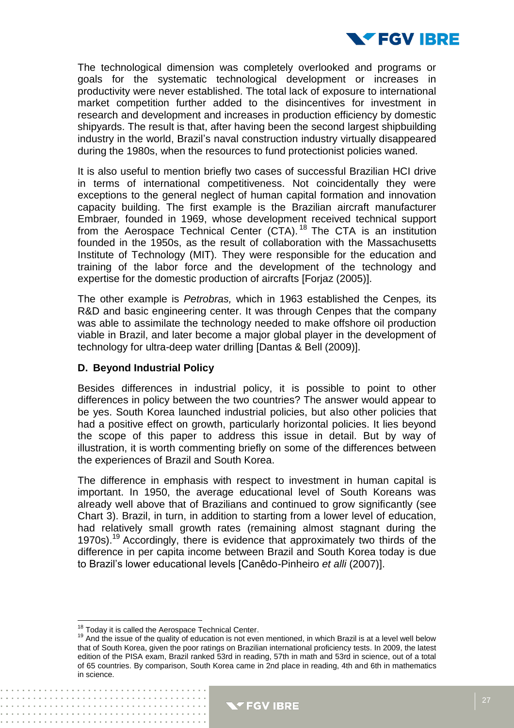

The technological dimension was completely overlooked and programs or goals for the systematic technological development or increases in productivity were never established. The total lack of exposure to international market competition further added to the disincentives for investment in research and development and increases in production efficiency by domestic shipyards. The result is that, after having been the second largest shipbuilding industry in the world, Brazil's naval construction industry virtually disappeared during the 1980s, when the resources to fund protectionist policies waned.

It is also useful to mention briefly two cases of successful Brazilian HCI drive in terms of international competitiveness. Not coincidentally they were exceptions to the general neglect of human capital formation and innovation capacity building. The first example is the Brazilian aircraft manufacturer Embraer*,* founded in 1969, whose development received technical support from the Aerospace Technical Center (CTA).<sup>18</sup> The CTA is an institution founded in the 1950s, as the result of collaboration with the Massachusetts Institute of Technology (MIT)*.* They were responsible for the education and training of the labor force and the development of the technology and expertise for the domestic production of aircrafts [Forjaz (2005)].

The other example is *Petrobras,* which in 1963 established the Cenpes*,* its R&D and basic engineering center. It was through Cenpes that the company was able to assimilate the technology needed to make offshore oil production viable in Brazil, and later become a major global player in the development of technology for ultra-deep water drilling [Dantas & Bell (2009)].

#### **D. Beyond Industrial Policy**

Besides differences in industrial policy, it is possible to point to other differences in policy between the two countries? The answer would appear to be yes. South Korea launched industrial policies, but also other policies that had a positive effect on growth, particularly horizontal policies. It lies beyond the scope of this paper to address this issue in detail. But by way of illustration, it is worth commenting briefly on some of the differences between the experiences of Brazil and South Korea.

The difference in emphasis with respect to investment in human capital is important. In 1950, the average educational level of South Koreans was already well above that of Brazilians and continued to grow significantly (see Chart 3). Brazil, in turn, in addition to starting from a lower level of education, had relatively small growth rates (remaining almost stagnant during the 1970s).<sup>19</sup> Accordingly, there is evidence that approximately two thirds of the difference in per capita income between Brazil and South Korea today is due to Brazil's lower educational levels [Canêdo-Pinheiro *et alli* (2007)].

 $\overline{\phantom{a}}$ 

 $18$  Today it is called the Aerospace Technical Center.

<sup>&</sup>lt;sup>19</sup> And the issue of the quality of education is not even mentioned, in which Brazil is at a level well below that of South Korea, given the poor ratings on Brazilian international proficiency tests. In 2009, the latest edition of the PISA exam, Brazil ranked 53rd in reading, 57th in math and 53rd in science, out of a total of 65 countries. By comparison, South Korea came in 2nd place in reading, 4th and 6th in mathematics in science.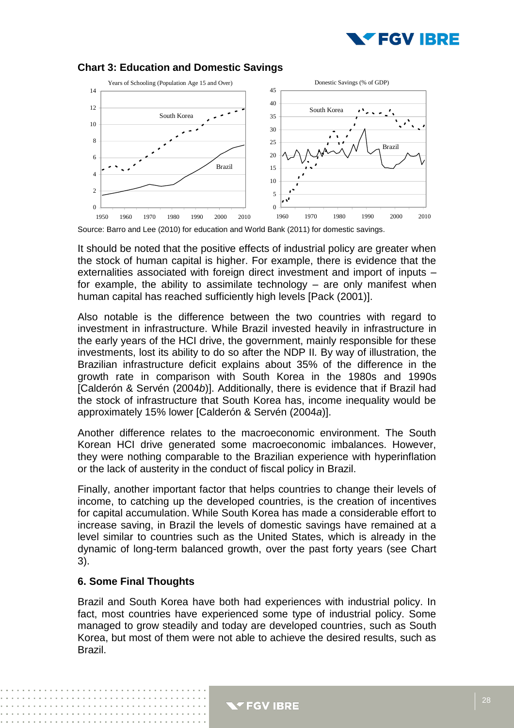



#### **Chart 3: Education and Domestic Savings**

Source: Barro and Lee (2010) for education and World Bank (2011) for domestic savings.

It should be noted that the positive effects of industrial policy are greater when the stock of human capital is higher. For example, there is evidence that the externalities associated with foreign direct investment and import of inputs – for example, the ability to assimilate technology – are only manifest when human capital has reached sufficiently high levels [Pack (2001)].

Also notable is the difference between the two countries with regard to investment in infrastructure. While Brazil invested heavily in infrastructure in the early years of the HCI drive, the government, mainly responsible for these investments, lost its ability to do so after the NDP II*.* By way of illustration, the Brazilian infrastructure deficit explains about 35% of the difference in the growth rate in comparison with South Korea in the 1980s and 1990s [Calderón & Servén (2004*b*)]. Additionally, there is evidence that if Brazil had the stock of infrastructure that South Korea has, income inequality would be approximately 15% lower [Calderón & Servén (2004*a*)].

Another difference relates to the macroeconomic environment. The South Korean HCI drive generated some macroeconomic imbalances. However, they were nothing comparable to the Brazilian experience with hyperinflation or the lack of austerity in the conduct of fiscal policy in Brazil.

Finally, another important factor that helps countries to change their levels of income, to catching up the developed countries, is the creation of incentives for capital accumulation. While South Korea has made a considerable effort to increase saving, in Brazil the levels of domestic savings have remained at a level similar to countries such as the United States, which is already in the dynamic of long-term balanced growth, over the past forty years (see Chart 3).

#### **6. Some Final Thoughts**

Brazil and South Korea have both had experiences with industrial policy. In fact, most countries have experienced some type of industrial policy. Some managed to grow steadily and today are developed countries, such as South Korea, but most of them were not able to achieve the desired results, such as Brazil.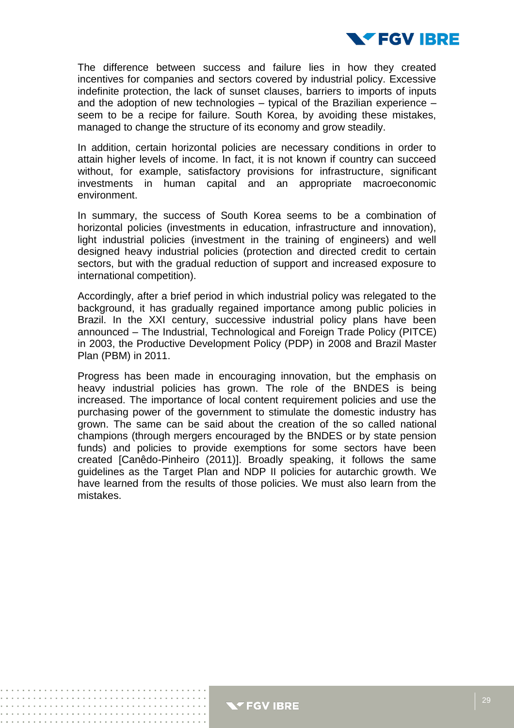

The difference between success and failure lies in how they created incentives for companies and sectors covered by industrial policy. Excessive indefinite protection, the lack of sunset clauses, barriers to imports of inputs and the adoption of new technologies – typical of the Brazilian experience – seem to be a recipe for failure. South Korea, by avoiding these mistakes, managed to change the structure of its economy and grow steadily.

In addition, certain horizontal policies are necessary conditions in order to attain higher levels of income. In fact, it is not known if country can succeed without, for example, satisfactory provisions for infrastructure, significant investments in human capital and an appropriate macroeconomic environment.

In summary, the success of South Korea seems to be a combination of horizontal policies (investments in education, infrastructure and innovation), light industrial policies (investment in the training of engineers) and well designed heavy industrial policies (protection and directed credit to certain sectors, but with the gradual reduction of support and increased exposure to international competition).

Accordingly, after a brief period in which industrial policy was relegated to the background, it has gradually regained importance among public policies in Brazil. In the XXI century, successive industrial policy plans have been announced – The Industrial, Technological and Foreign Trade Policy (PITCE) in 2003, the Productive Development Policy (PDP) in 2008 and Brazil Master Plan (PBM) in 2011.

Progress has been made in encouraging innovation, but the emphasis on heavy industrial policies has grown. The role of the BNDES is being increased. The importance of local content requirement policies and use the purchasing power of the government to stimulate the domestic industry has grown. The same can be said about the creation of the so called national champions (through mergers encouraged by the BNDES or by state pension funds) and policies to provide exemptions for some sectors have been created [Canêdo-Pinheiro (2011)]. Broadly speaking, it follows the same guidelines as the Target Plan and NDP II policies for autarchic growth. We have learned from the results of those policies. We must also learn from the mistakes.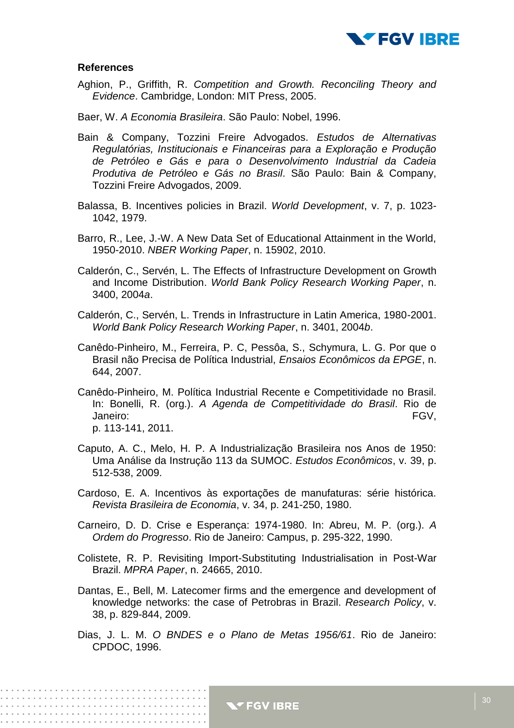

#### **References**

- Aghion, P., Griffith, R. *Competition and Growth. Reconciling Theory and Evidence*. Cambridge, London: MIT Press, 2005.
- Baer, W. *A Economia Brasileira*. São Paulo: Nobel, 1996.
- Bain & Company, Tozzini Freire Advogados. *Estudos de Alternativas Regulatórias, Institucionais e Financeiras para a Exploração e Produção de Petróleo e Gás e para o Desenvolvimento Industrial da Cadeia Produtiva de Petróleo e Gás no Brasil*. São Paulo: Bain & Company, Tozzini Freire Advogados, 2009.
- Balassa, B. Incentives policies in Brazil. *World Development*, v. 7, p. 1023- 1042, 1979.
- Barro, R., Lee, J.-W. A New Data Set of Educational Attainment in the World, 1950-2010. *NBER Working Paper*, n. 15902, 2010.
- Calderón, C., Servén, L. The Effects of Infrastructure Development on Growth and Income Distribution. *World Bank Policy Research Working Paper*, n. 3400, 2004*a*.
- Calderón, C., Servén, L. Trends in Infrastructure in Latin America, 1980-2001. *World Bank Policy Research Working Paper*, n. 3401, 2004*b*.
- Canêdo-Pinheiro, M., Ferreira, P. C, Pessôa, S., Schymura, L. G. Por que o Brasil não Precisa de Política Industrial, *Ensaios Econômicos da EPGE*, n. 644, 2007.
- Canêdo-Pinheiro, M. Política Industrial Recente e Competitividade no Brasil. In: Bonelli, R. (org.). *A Agenda de Competitividade do Brasil*. Rio de Janeiro: FGV, p. 113-141, 2011.
- Caputo, A. C., Melo, H. P. A Industrialização Brasileira nos Anos de 1950: Uma Análise da Instrução 113 da SUMOC. *Estudos Econômicos*, v. 39, p. 512-538, 2009.
- Cardoso, E. A. Incentivos às exportações de manufaturas: série histórica. *Revista Brasileira de Economia*, v. 34, p. 241-250, 1980.
- Carneiro, D. D. Crise e Esperança: 1974-1980. In: Abreu, M. P. (org.). *A Ordem do Progresso*. Rio de Janeiro: Campus, p. 295-322, 1990.
- Colistete, R. P. Revisiting Import-Substituting Industrialisation in Post-War Brazil. *MPRA Paper*, n. 24665, 2010.
- Dantas, E., Bell, M. Latecomer firms and the emergence and development of knowledge networks: the case of Petrobras in Brazil. *Research Policy*, v. 38, p. 829-844, 2009.
- Dias, J. L. M. *O BNDES e o Plano de Metas 1956/61*. Rio de Janeiro: CPDOC, 1996.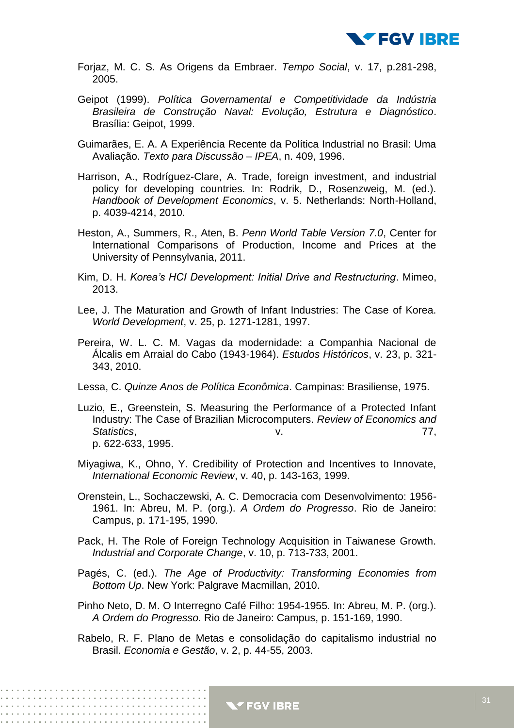

- Forjaz, M. C. S. As Origens da Embraer. *Tempo Social*, v. 17, p.281-298, 2005.
- Geipot (1999). *Política Governamental e Competitividade da Indústria Brasileira de Construção Naval: Evolução, Estrutura e Diagnóstico*. Brasília: Geipot, 1999.
- Guimarães, E. A. A Experiência Recente da Política Industrial no Brasil: Uma Avaliação. *Texto para Discussão – IPEA*, n. 409, 1996.
- Harrison, A., Rodríguez-Clare, A. Trade, foreign investment, and industrial policy for developing countries. In: Rodrik, D., Rosenzweig, M. (ed.). *Handbook of Development Economics*, v. 5. Netherlands: North-Holland, p. 4039-4214, 2010.
- Heston, A., Summers, R., Aten, B. *Penn World Table Version 7.0*, Center for International Comparisons of Production, Income and Prices at the University of Pennsylvania, 2011.
- Kim, D. H. *Korea's HCI Development: Initial Drive and Restructuring*. Mimeo, 2013.
- Lee, J. The Maturation and Growth of Infant Industries: The Case of Korea. *World Development*, v. 25, p. 1271-1281, 1997.
- Pereira, W. L. C. M. Vagas da modernidade: a Companhia Nacional de Álcalis em Arraial do Cabo (1943-1964). *Estudos Históricos*, v. 23, p. 321- 343, 2010.
- Lessa, C. *Quinze Anos de Política Econômica*. Campinas: Brasiliense, 1975.
- Luzio, E., Greenstein, S. Measuring the Performance of a Protected Infant Industry: The Case of Brazilian Microcomputers. *Review of Economics and Statistics*, v. 77, p. 622-633, 1995.
- Miyagiwa, K., Ohno, Y. Credibility of Protection and Incentives to Innovate, *International Economic Review*, v. 40, p. 143-163, 1999.
- Orenstein, L., Sochaczewski, A. C. Democracia com Desenvolvimento: 1956- 1961. In: Abreu, M. P. (org.). *A Ordem do Progresso*. Rio de Janeiro: Campus, p. 171-195, 1990.
- Pack, H. The Role of Foreign Technology Acquisition in Taiwanese Growth. *Industrial and Corporate Change*, v. 10, p. 713-733, 2001.
- Pagés, C. (ed.). *The Age of Productivity: Transforming Economies from Bottom Up*. New York: Palgrave Macmillan, 2010.
- Pinho Neto, D. M. O Interregno Café Filho: 1954-1955. In: Abreu, M. P. (org.). *A Ordem do Progresso*. Rio de Janeiro: Campus, p. 151-169, 1990.
- Rabelo, R. F. Plano de Metas e consolidação do capitalismo industrial no Brasil. *Economia e Gestão*, v. 2, p. 44-55, 2003.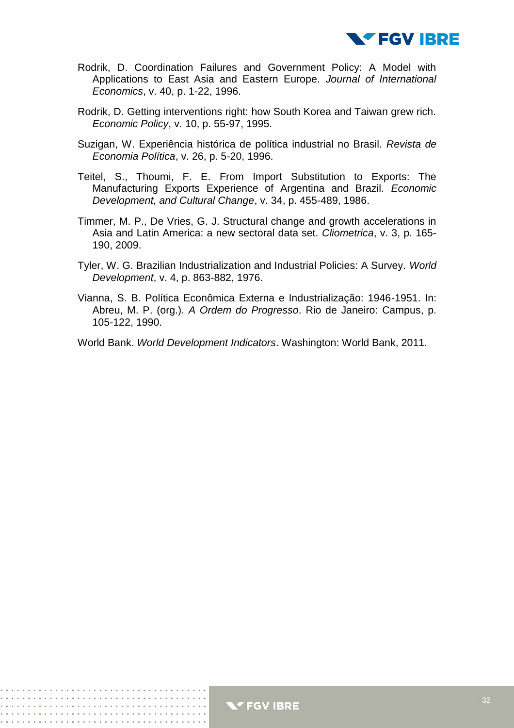

- Rodrik, D. Coordination Failures and Government Policy: A Model with Applications to East Asia and Eastern Europe. *Journal of International Economics*, v. 40, p. 1-22, 1996.
- Rodrik, D. Getting interventions right: how South Korea and Taiwan grew rich. *Economic Policy*, v. 10, p. 55-97, 1995.
- Suzigan, W. Experiência histórica de política industrial no Brasil. *Revista de Economia Política*, v. 26, p. 5-20, 1996.
- Teitel, S., Thoumi, F. E. From Import Substitution to Exports: The Manufacturing Exports Experience of Argentina and Brazil. *Economic Development, and Cultural Change*, v. 34, p. 455-489, 1986.
- Timmer, M. P., De Vries, G. J. Structural change and growth accelerations in Asia and Latin America: a new sectoral data set. *Cliometrica*, v. 3, p. 165- 190, 2009.
- Tyler, W. G. Brazilian Industrialization and Industrial Policies: A Survey. *World Development*, v. 4, p. 863-882, 1976.
- Vianna, S. B. Política Econômica Externa e Industrialização: 1946-1951. In: Abreu, M. P. (org.). *A Ordem do Progresso*. Rio de Janeiro: Campus, p. 105-122, 1990.
- World Bank. *World Development Indicators*. Washington: World Bank, 2011.

. . . . . . . . . . . . . . . . . . . .